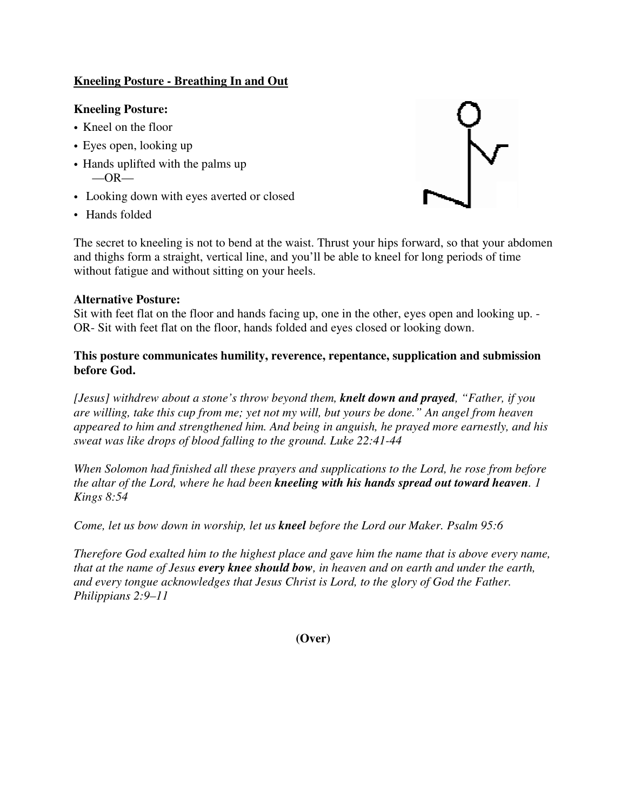## **Kneeling Posture - Breathing In and Out**

## **Kneeling Posture:**

- Kneel on the floor
- Eyes open, looking up
- Hands uplifted with the palms up  $-OR-$
- Looking down with eyes averted or closed
- Hands folded



The secret to kneeling is not to bend at the waist. Thrust your hips forward, so that your abdomen and thighs form a straight, vertical line, and you'll be able to kneel for long periods of time without fatigue and without sitting on your heels.

## **Alternative Posture:**

Sit with feet flat on the floor and hands facing up, one in the other, eyes open and looking up. - OR- Sit with feet flat on the floor, hands folded and eyes closed or looking down.

## **This posture communicates humility, reverence, repentance, supplication and submission before God.**

*[Jesus] withdrew about a stone's throw beyond them, knelt down and prayed, "Father, if you are willing, take this cup from me; yet not my will, but yours be done." An angel from heaven appeared to him and strengthened him. And being in anguish, he prayed more earnestly, and his sweat was like drops of blood falling to the ground. Luke 22:41-44* 

*When Solomon had finished all these prayers and supplications to the Lord, he rose from before the altar of the Lord, where he had been kneeling with his hands spread out toward heaven. 1 Kings 8:54* 

*Come, let us bow down in worship, let us kneel before the Lord our Maker. Psalm 95:6* 

*Therefore God exalted him to the highest place and gave him the name that is above every name, that at the name of Jesus every knee should bow, in heaven and on earth and under the earth, and every tongue acknowledges that Jesus Christ is Lord, to the glory of God the Father. Philippians 2:9–11* 

**(Over)**